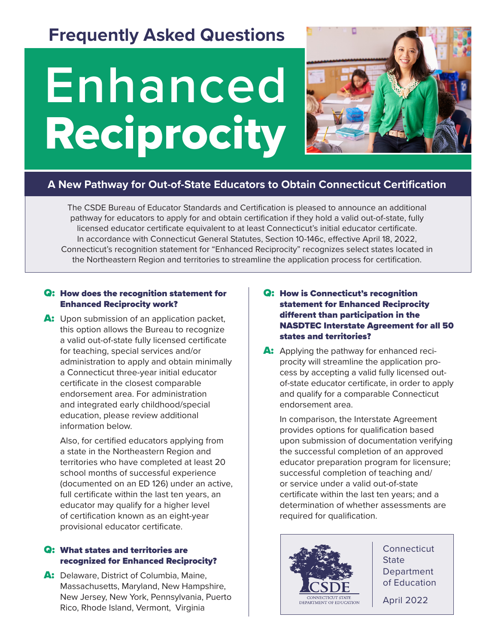## **Frequently Asked Questions**

# **Enhanced** Reciprocity



### **A New Pathway for Out-of-State Educators to Obtain Connecticut Certification**

The CSDE Bureau of Educator Standards and Certification is pleased to announce an additional pathway for educators to apply for and obtain certification if they hold a valid out-of-state, fully licensed educator certificate equivalent to at least Connecticut's initial educator certificate. In accordance with Connecticut General Statutes, Section 10-146c, effective April 18, 2022, Connecticut's recognition statement for "Enhanced Reciprocity" recognizes select states located in the Northeastern Region and territories to streamline the application process for certification.

#### Q: How does the recognition statement for Enhanced Reciprocity work?

A: Upon submission of an application packet, this option allows the Bureau to recognize a valid out-of-state fully licensed certificate for teaching, special services and/or administration to apply and obtain minimally a Connecticut three-year initial educator certificate in the closest comparable endorsement area. For administration and integrated early childhood/special education, please review additional information below.

 Also, for certified educators applying from a state in the Northeastern Region and territories who have completed at least 20 school months of successful experience (documented on an ED 126) under an active, full certificate within the last ten years, an educator may qualify for a higher level of certification known as an eight-year provisional educator certificate.

#### Q: What states and territories are recognized for Enhanced Reciprocity?

A: Delaware, District of Columbia, Maine, Massachusetts, Maryland, New Hampshire, New Jersey, New York, Pennsylvania, Puerto Rico, Rhode Island, Vermont, Virginia

#### Q: How is Connecticut's recognition statement for Enhanced Reciprocity different than participation in the NASDTEC Interstate Agreement for all 50 states and territories?

A: Applying the pathway for enhanced reciprocity will streamline the application process by accepting a valid fully licensed outof-state educator certificate, in order to apply and qualify for a comparable Connecticut endorsement area.

 In comparison, the Interstate Agreement provides options for qualification based upon submission of documentation verifying the successful completion of an approved educator preparation program for licensure; successful completion of teaching and/ or service under a valid out-of-state certificate within the last ten years; and a determination of whether assessments are required for qualification.



**Connecticut State Department** of Education

April 2022